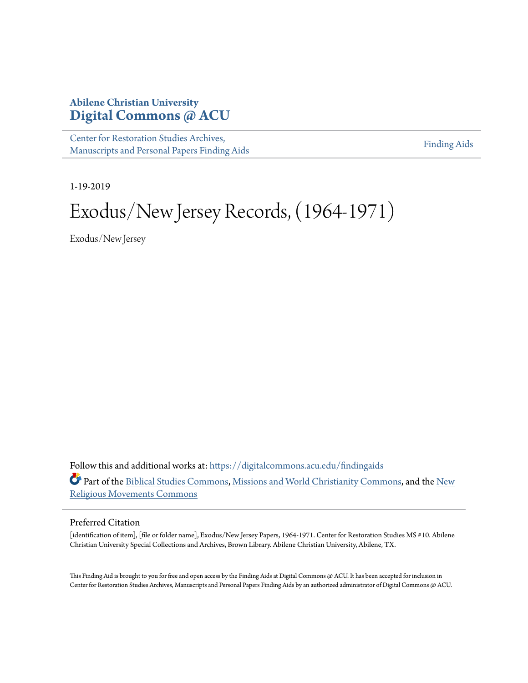# **Abilene Christian University [Digital Commons @ ACU](https://digitalcommons.acu.edu?utm_source=digitalcommons.acu.edu%2Ffindingaids%2F310&utm_medium=PDF&utm_campaign=PDFCoverPages)**

[Center for Restoration Studies Archives,](https://digitalcommons.acu.edu/findingaids?utm_source=digitalcommons.acu.edu%2Ffindingaids%2F310&utm_medium=PDF&utm_campaign=PDFCoverPages) [Manuscripts and Personal Papers Finding Aids](https://digitalcommons.acu.edu/findingaids?utm_source=digitalcommons.acu.edu%2Ffindingaids%2F310&utm_medium=PDF&utm_campaign=PDFCoverPages)

[Finding Aids](https://digitalcommons.acu.edu/crs_finding_aids?utm_source=digitalcommons.acu.edu%2Ffindingaids%2F310&utm_medium=PDF&utm_campaign=PDFCoverPages)

1-19-2019

# Exodus/New Jersey Records, (1964-1971)

Exodus/New Jersey

Follow this and additional works at: [https://digitalcommons.acu.edu/findingaids](https://digitalcommons.acu.edu/findingaids?utm_source=digitalcommons.acu.edu%2Ffindingaids%2F310&utm_medium=PDF&utm_campaign=PDFCoverPages) Part of the [Biblical Studies Commons,](http://network.bepress.com/hgg/discipline/539?utm_source=digitalcommons.acu.edu%2Ffindingaids%2F310&utm_medium=PDF&utm_campaign=PDFCoverPages) [Missions and World Christianity Commons,](http://network.bepress.com/hgg/discipline/1187?utm_source=digitalcommons.acu.edu%2Ffindingaids%2F310&utm_medium=PDF&utm_campaign=PDFCoverPages) and the [New](http://network.bepress.com/hgg/discipline/1189?utm_source=digitalcommons.acu.edu%2Ffindingaids%2F310&utm_medium=PDF&utm_campaign=PDFCoverPages) [Religious Movements Commons](http://network.bepress.com/hgg/discipline/1189?utm_source=digitalcommons.acu.edu%2Ffindingaids%2F310&utm_medium=PDF&utm_campaign=PDFCoverPages)

#### Preferred Citation

[identification of item], [file or folder name], Exodus/New Jersey Papers, 1964-1971. Center for Restoration Studies MS #10. Abilene Christian University Special Collections and Archives, Brown Library. Abilene Christian University, Abilene, TX.

This Finding Aid is brought to you for free and open access by the Finding Aids at Digital Commons @ ACU. It has been accepted for inclusion in Center for Restoration Studies Archives, Manuscripts and Personal Papers Finding Aids by an authorized administrator of Digital Commons @ ACU.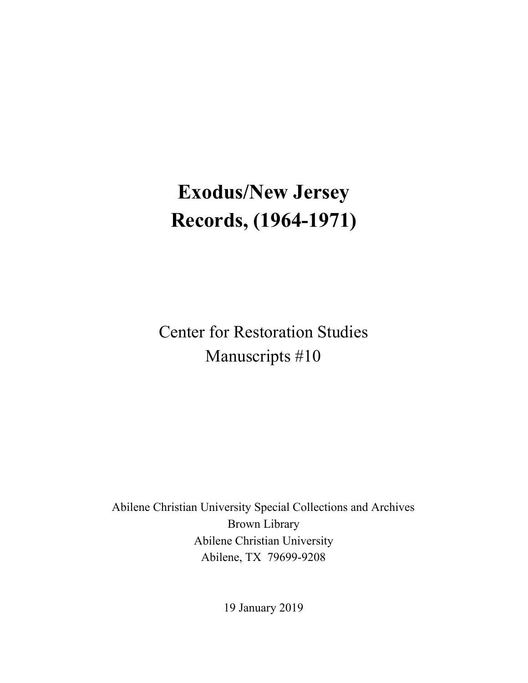# **Exodus/New Jersey Records, (1964-1971)**

Center for Restoration Studies Manuscripts #10

Abilene Christian University Special Collections and Archives Brown Library Abilene Christian University Abilene, TX 79699-9208

19 January 2019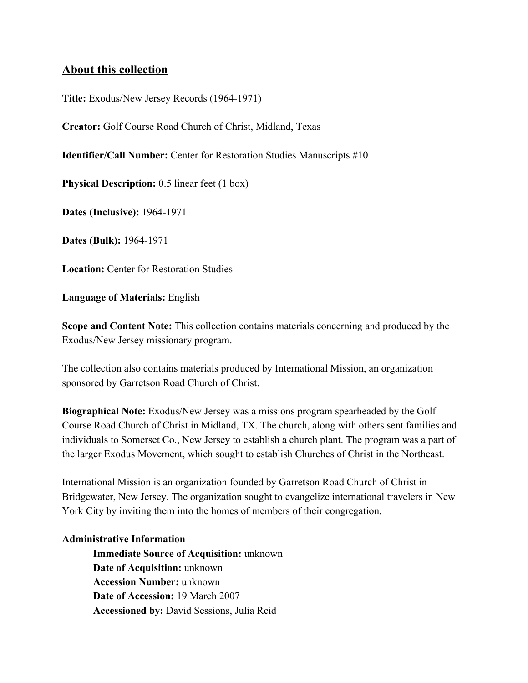### **About this collection**

**Title:** Exodus/New Jersey Records (1964-1971)

**Creator:** Golf Course Road Church of Christ, Midland, Texas

**Identifier/Call Number:** Center for Restoration Studies Manuscripts #10

**Physical Description:** 0.5 linear feet (1 box)

**Dates (Inclusive):** 1964-1971

**Dates (Bulk):** 1964-1971

**Location:** Center for Restoration Studies

**Language of Materials:** English

**Scope and Content Note:** This collection contains materials concerning and produced by the Exodus/New Jersey missionary program.

The collection also contains materials produced by International Mission, an organization sponsored by Garretson Road Church of Christ.

**Biographical Note:** Exodus/New Jersey was a missions program spearheaded by the Golf Course Road Church of Christ in Midland, TX. The church, along with others sent families and individuals to Somerset Co., New Jersey to establish a church plant. The program was a part of the larger Exodus Movement, which sought to establish Churches of Christ in the Northeast.

International Mission is an organization founded by Garretson Road Church of Christ in Bridgewater, New Jersey. The organization sought to evangelize international travelers in New York City by inviting them into the homes of members of their congregation.

#### **Administrative Information**

**Immediate Source of Acquisition:** unknown **Date of Acquisition:** unknown **Accession Number:** unknown **Date of Accession:** 19 March 2007 **Accessioned by:** David Sessions, Julia Reid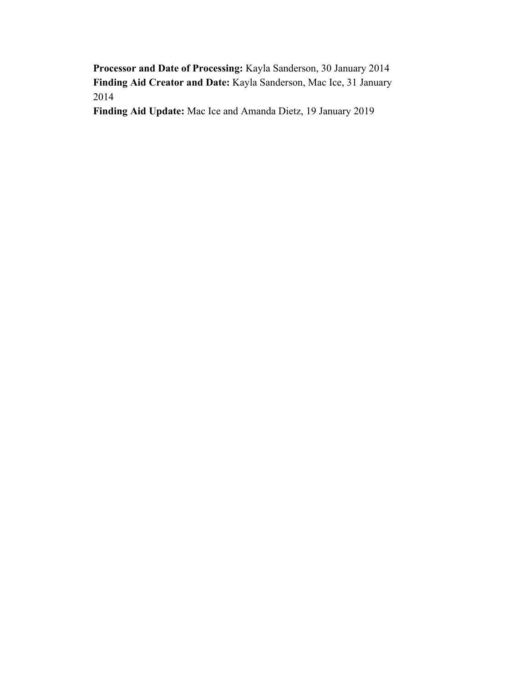**Processor and Date of Processing:** Kayla Sanderson, 30 January 2014 **Finding Aid Creator and Date:** Kayla Sanderson, Mac Ice, 31 January 2014

**Finding Aid Update:** Mac Ice and Amanda Dietz, 19 January 2019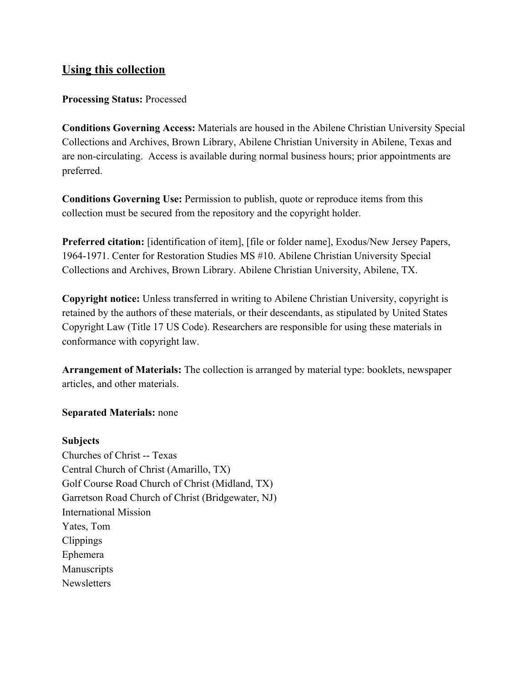## **Using this collection**

#### **Processing Status:** Processed

**Conditions Governing Access:** Materials are housed in the Abilene Christian University Special Collections and Archives, Brown Library, Abilene Christian University in Abilene, Texas and are non-circulating. Access is available during normal business hours; prior appointments are preferred.

**Conditions Governing Use:** Permission to publish, quote or reproduce items from this collection must be secured from the repository and the copyright holder.

**Preferred citation:** [identification of item], [file or folder name], Exodus/New Jersey Papers, 1964-1971. Center for Restoration Studies MS #10. Abilene Christian University Special Collections and Archives, Brown Library. Abilene Christian University, Abilene, TX.

**Copyright notice:** Unless transferred in writing to Abilene Christian University, copyright is retained by the authors of these materials, or their descendants, as stipulated by United States Copyright Law (Title 17 US Code). Researchers are responsible for using these materials in conformance with copyright law.

**Arrangement of Materials:** The collection is arranged by material type: booklets, newspaper articles, and other materials.

#### **Separated Materials:** none

#### **Subjects**

Churches of Christ -- Texas Central Church of Christ (Amarillo, TX) Golf Course Road Church of Christ (Midland, TX) Garretson Road Church of Christ (Bridgewater, NJ) International Mission Yates, Tom Clippings Ephemera Manuscripts **Newsletters**